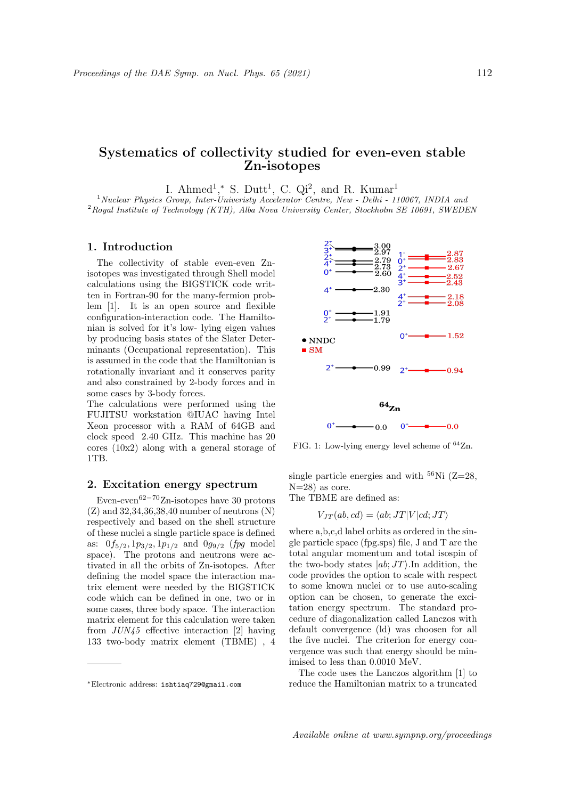# Systematics of collectivity studied for even-even stable Zn-isotopes

I. Ahmed<sup>1</sup>,\* S. Dutt<sup>1</sup>, C. Qi<sup>2</sup>, and R. Kumar<sup>1</sup>

<sup>1</sup> Nuclear Physics Group, Inter-Univeristy Accelerator Centre, New - Delhi - 110067, INDIA and  $2$ Royal Institute of Technology (KTH), Alba Nova University Center, Stockholm SE 10691, SWEDEN

### 1. Introduction

The collectivity of stable even-even Znisotopes was investigated through Shell model calculations using the BIGSTICK code written in Fortran-90 for the many-fermion problem [1]. It is an open source and flexible configuration-interaction code. The Hamiltonian is solved for it's low- lying eigen values by producing basis states of the Slater Determinants (Occupational representation). This is assumed in the code that the Hamiltonian is rotationally invariant and it conserves parity and also constrained by 2-body forces and in some cases by 3-body forces.

The calculations were performed using the FUJITSU workstation @IUAC having Intel Xeon processor with a RAM of 64GB and clock speed 2.40 GHz. This machine has 20 cores (10x2) along with a general storage of 1TB.

## 2. Excitation energy spectrum

Even-even62−70Zn-isotopes have 30 protons (Z) and 32,34,36,38,40 number of neutrons (N) respectively and based on the shell structure of these nuclei a single particle space is defined as:  $0f_{5/2}, 1p_{3/2}, 1p_{1/2}$  and  $0g_{9/2}$  (*fpg* model space). The protons and neutrons were activated in all the orbits of Zn-isotopes. After defining the model space the interaction matrix element were needed by the BIGSTICK code which can be defined in one, two or in some cases, three body space. The interaction matrix element for this calculation were taken from JUN45 effective interaction [2] having 133 two-body matrix element (TBME) , 4



FIG. 1: Low-lying energy level scheme of  $64$ Zn.

single particle energies and with  $56$ Ni (Z=28,  $N=28$ ) as core.

The TBME are defined as:

$$
V_{JT}(ab, cd) = \langle ab; JT|V|cd; JT\rangle
$$

where a,b,c,d label orbits as ordered in the single particle space (fpg.sps) file, J and T are the total angular momentum and total isospin of the two-body states  $|ab;JT\rangle$ . In addition, the code provides the option to scale with respect to some known nuclei or to use auto-scaling option can be chosen, to generate the excitation energy spectrum. The standard procedure of diagonalization called Lanczos with default convergence (ld) was choosen for all the five nuclei. The criterion for energy convergence was such that energy should be minimised to less than 0.0010 MeV.

The code uses the Lanczos algorithm [1] to reduce the Hamiltonian matrix to a truncated

<sup>∗</sup>Electronic address: ishtiaq729@gmail.com